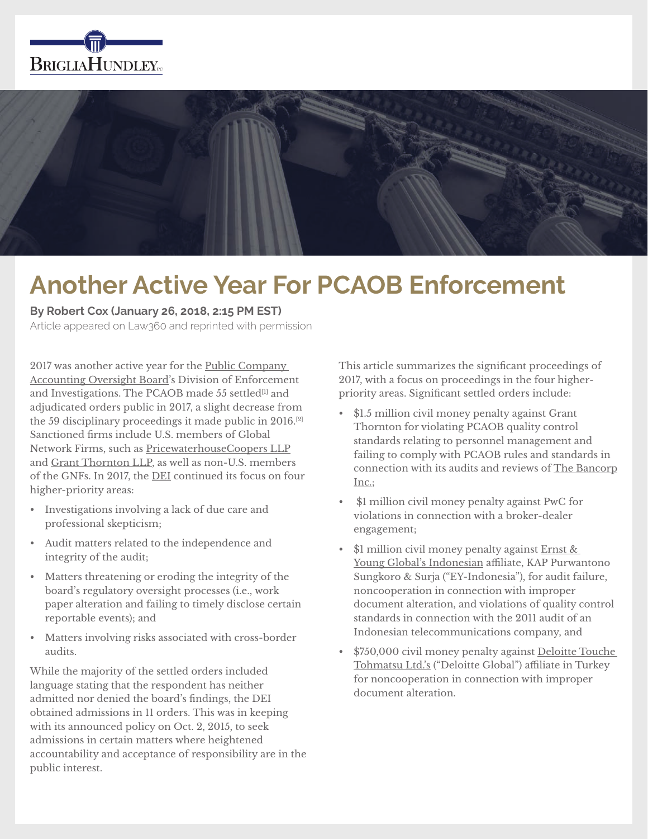



# **Another Active Year For PCAOB Enforcement**

**By Robert Cox (January 26, 2018, 2:15 PM EST)**

Article appeared on Law360 and reprinted with permission

2017 was another active year for the Public Company Accounting Oversight Board's Division of Enforcement and Investigations. The PCAOB made 55 settled<sup>[1]</sup> and adjudicated orders public in 2017, a slight decrease from the 59 disciplinary proceedings it made public in 2016.[2] Sanctioned firms include U.S. members of Global Network Firms, such as PricewaterhouseCoopers LLP and Grant Thornton LLP, as well as non-U.S. members of the GNFs. In 2017, the DEI continued its focus on four higher-priority areas:

- Investigations involving a lack of due care and professional skepticism;
- Audit matters related to the independence and integrity of the audit;
- Matters threatening or eroding the integrity of the board's regulatory oversight processes (i.e., work paper alteration and failing to timely disclose certain reportable events); and
- Matters involving risks associated with cross-border audits.

While the majority of the settled orders included language stating that the respondent has neither admitted nor denied the board's findings, the DEI obtained admissions in 11 orders. This was in keeping with its announced policy on Oct. 2, 2015, to seek admissions in certain matters where heightened accountability and acceptance of responsibility are in the public interest.

This article summarizes the significant proceedings of 2017, with a focus on proceedings in the four higherpriority areas. Significant settled orders include:

- \$1.5 million civil money penalty against Grant Thornton for violating PCAOB quality control standards relating to personnel management and failing to comply with PCAOB rules and standards in connection with its audits and reviews of The Bancorp Inc.;
- \$1 million civil money penalty against PwC for violations in connection with a broker-dealer engagement;
- \$1 million civil money penalty against Ernst & Young Global's Indonesian affiliate, KAP Purwantono Sungkoro & Surja ("EY-Indonesia"), for audit failure, noncooperation in connection with improper document alteration, and violations of quality control standards in connection with the 2011 audit of an Indonesian telecommunications company, and
- \$750,000 civil money penalty against Deloitte Touche Tohmatsu Ltd.'s ("Deloitte Global") affiliate in Turkey for noncooperation in connection with improper document alteration.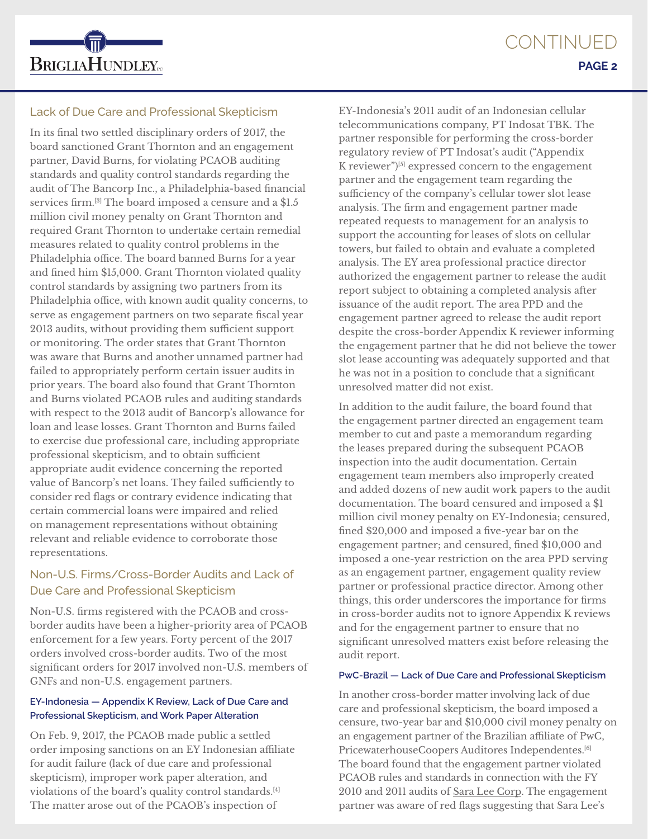

# Lack of Due Care and Professional Skepticism

In its final two settled disciplinary orders of 2017, the board sanctioned Grant Thornton and an engagement partner, David Burns, for violating PCAOB auditing standards and quality control standards regarding the audit of The Bancorp Inc., a Philadelphia-based financial services firm.<sup>[3]</sup> The board imposed a censure and a \$1.5 million civil money penalty on Grant Thornton and required Grant Thornton to undertake certain remedial measures related to quality control problems in the Philadelphia office. The board banned Burns for a year and fined him \$15,000. Grant Thornton violated quality control standards by assigning two partners from its Philadelphia office, with known audit quality concerns, to serve as engagement partners on two separate fiscal year 2013 audits, without providing them sufficient support or monitoring. The order states that Grant Thornton was aware that Burns and another unnamed partner had failed to appropriately perform certain issuer audits in prior years. The board also found that Grant Thornton and Burns violated PCAOB rules and auditing standards with respect to the 2013 audit of Bancorp's allowance for loan and lease losses. Grant Thornton and Burns failed to exercise due professional care, including appropriate professional skepticism, and to obtain sufficient appropriate audit evidence concerning the reported value of Bancorp's net loans. They failed sufficiently to consider red flags or contrary evidence indicating that certain commercial loans were impaired and relied on management representations without obtaining relevant and reliable evidence to corroborate those representations.

# Non-U.S. Firms/Cross-Border Audits and Lack of Due Care and Professional Skepticism

Non-U.S. firms registered with the PCAOB and crossborder audits have been a higher-priority area of PCAOB enforcement for a few years. Forty percent of the 2017 orders involved cross-border audits. Two of the most significant orders for 2017 involved non-U.S. members of GNFs and non-U.S. engagement partners.

# **EY-Indonesia — Appendix K Review, Lack of Due Care and Professional Skepticism, and Work Paper Alteration**

On Feb. 9, 2017, the PCAOB made public a settled order imposing sanctions on an EY Indonesian affiliate for audit failure (lack of due care and professional skepticism), improper work paper alteration, and violations of the board's quality control standards.[4] The matter arose out of the PCAOB's inspection of

EY-Indonesia's 2011 audit of an Indonesian cellular telecommunications company, PT Indosat TBK. The partner responsible for performing the cross-border regulatory review of PT Indosat's audit ("Appendix K reviewer") $[5]$  expressed concern to the engagement partner and the engagement team regarding the sufficiency of the company's cellular tower slot lease analysis. The firm and engagement partner made repeated requests to management for an analysis to support the accounting for leases of slots on cellular towers, but failed to obtain and evaluate a completed analysis. The EY area professional practice director authorized the engagement partner to release the audit report subject to obtaining a completed analysis after issuance of the audit report. The area PPD and the engagement partner agreed to release the audit report despite the cross-border Appendix K reviewer informing the engagement partner that he did not believe the tower slot lease accounting was adequately supported and that he was not in a position to conclude that a significant unresolved matter did not exist.

In addition to the audit failure, the board found that the engagement partner directed an engagement team member to cut and paste a memorandum regarding the leases prepared during the subsequent PCAOB inspection into the audit documentation. Certain engagement team members also improperly created and added dozens of new audit work papers to the audit documentation. The board censured and imposed a \$1 million civil money penalty on EY-Indonesia; censured, fined \$20,000 and imposed a five-year bar on the engagement partner; and censured, fined \$10,000 and imposed a one-year restriction on the area PPD serving as an engagement partner, engagement quality review partner or professional practice director. Among other things, this order underscores the importance for firms in cross-border audits not to ignore Appendix K reviews and for the engagement partner to ensure that no significant unresolved matters exist before releasing the audit report.

## **PwC-Brazil — Lack of Due Care and Professional Skepticism**

In another cross-border matter involving lack of due care and professional skepticism, the board imposed a censure, two-year bar and \$10,000 civil money penalty on an engagement partner of the Brazilian affiliate of PwC, PricewaterhouseCoopers Auditores Independentes.<sup>[6]</sup> The board found that the engagement partner violated PCAOB rules and standards in connection with the FY 2010 and 2011 audits of Sara Lee Corp. The engagement partner was aware of red flags suggesting that Sara Lee's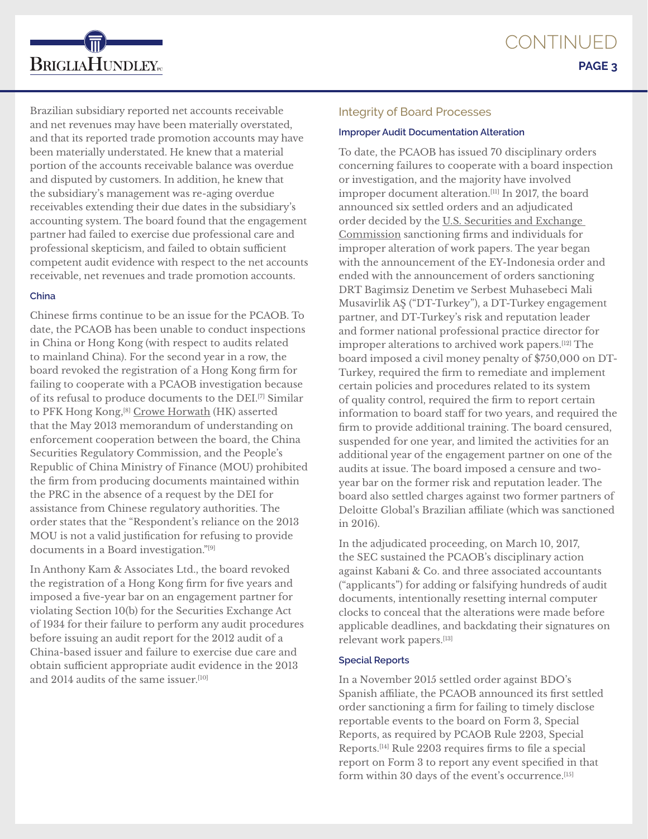Brazilian subsidiary reported net accounts receivable and net revenues may have been materially overstated, and that its reported trade promotion accounts may have been materially understated. He knew that a material portion of the accounts receivable balance was overdue and disputed by customers. In addition, he knew that the subsidiary's management was re-aging overdue receivables extending their due dates in the subsidiary's accounting system. The board found that the engagement partner had failed to exercise due professional care and professional skepticism, and failed to obtain sufficient competent audit evidence with respect to the net accounts receivable, net revenues and trade promotion accounts.

#### **China**

**BRIGLIAHUNDLEY**<sub>rc</sub>

Chinese firms continue to be an issue for the PCAOB. To date, the PCAOB has been unable to conduct inspections in China or Hong Kong (with respect to audits related to mainland China). For the second year in a row, the board revoked the registration of a Hong Kong firm for failing to cooperate with a PCAOB investigation because of its refusal to produce documents to the DEI.<sup>[7]</sup> Similar to PFK Hong Kong,<sup>[8]</sup> Crowe Horwath (HK) asserted that the May 2013 memorandum of understanding on enforcement cooperation between the board, the China Securities Regulatory Commission, and the People's Republic of China Ministry of Finance (MOU) prohibited the firm from producing documents maintained within the PRC in the absence of a request by the DEI for assistance from Chinese regulatory authorities. The order states that the "Respondent's reliance on the 2013 MOU is not a valid justification for refusing to provide documents in a Board investigation."[9]

In Anthony Kam & Associates Ltd., the board revoked the registration of a Hong Kong firm for five years and imposed a five-year bar on an engagement partner for violating Section 10(b) for the Securities Exchange Act of 1934 for their failure to perform any audit procedures before issuing an audit report for the 2012 audit of a China-based issuer and failure to exercise due care and obtain sufficient appropriate audit evidence in the 2013 and 2014 audits of the same issuer.<sup>[10]</sup>

#### Integrity of Board Processes

### **Improper Audit Documentation Alteration**

To date, the PCAOB has issued 70 disciplinary orders concerning failures to cooperate with a board inspection or investigation, and the majority have involved improper document alteration.[11] In 2017, the board announced six settled orders and an adjudicated order decided by the U.S. Securities and Exchange Commission sanctioning firms and individuals for improper alteration of work papers. The year began with the announcement of the EY-Indonesia order and ended with the announcement of orders sanctioning DRT Bagimsiz Denetim ve Serbest Muhasebeci Mali Musavirlik AŞ ("DT-Turkey"), a DT-Turkey engagement partner, and DT-Turkey's risk and reputation leader and former national professional practice director for improper alterations to archived work papers.[12] The board imposed a civil money penalty of \$750,000 on DT-Turkey, required the firm to remediate and implement certain policies and procedures related to its system of quality control, required the firm to report certain information to board staff for two years, and required the firm to provide additional training. The board censured, suspended for one year, and limited the activities for an additional year of the engagement partner on one of the audits at issue. The board imposed a censure and twoyear bar on the former risk and reputation leader. The board also settled charges against two former partners of Deloitte Global's Brazilian affiliate (which was sanctioned in 2016).

In the adjudicated proceeding, on March 10, 2017, the SEC sustained the PCAOB's disciplinary action against Kabani & Co. and three associated accountants ("applicants") for adding or falsifying hundreds of audit documents, intentionally resetting internal computer clocks to conceal that the alterations were made before applicable deadlines, and backdating their signatures on relevant work papers.[13]

## **Special Reports**

In a November 2015 settled order against BDO's Spanish affiliate, the PCAOB announced its first settled order sanctioning a firm for failing to timely disclose reportable events to the board on Form 3, Special Reports, as required by PCAOB Rule 2203, Special Reports.[14] Rule 2203 requires firms to file a special report on Form 3 to report any event specified in that form within 30 days of the event's occurrence.<sup>[15]</sup>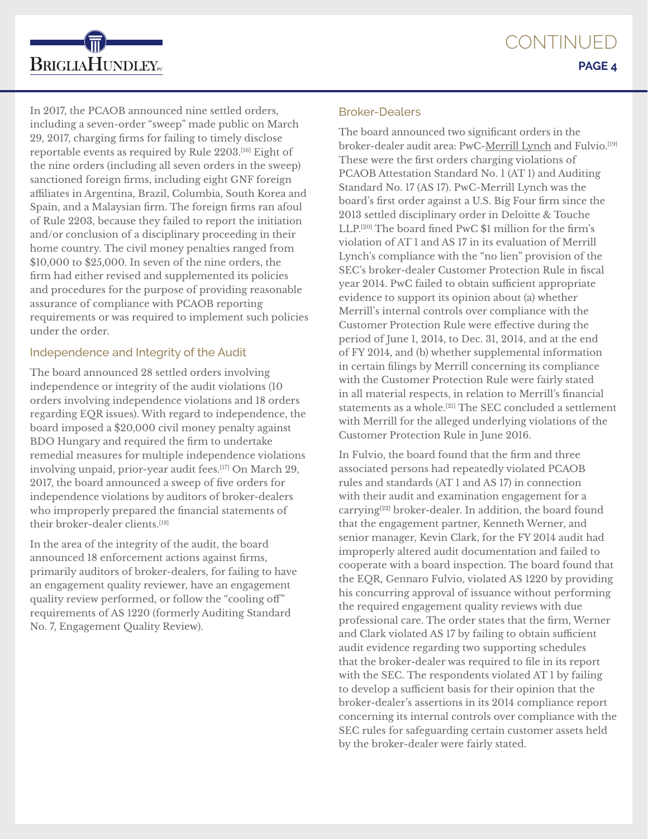

In 2017, the PCAOB announced nine settled orders, including a seven-order "sweep" made public on March 29, 2017, charging firms for failing to timely disclose reportable events as required by Rule 2203.[16] Eight of the nine orders (including all seven orders in the sweep) sanctioned foreign firms, including eight GNF foreign affiliates in Argentina, Brazil, Columbia, South Korea and Spain, and a Malaysian firm. The foreign firms ran afoul of Rule 2203, because they failed to report the initiation and/or conclusion of a disciplinary proceeding in their home country. The civil money penalties ranged from \$10,000 to \$25,000. In seven of the nine orders, the firm had either revised and supplemented its policies and procedures for the purpose of providing reasonable assurance of compliance with PCAOB reporting requirements or was required to implement such policies under the order.

# Independence and Integrity of the Audit

The board announced 28 settled orders involving independence or integrity of the audit violations (10 orders involving independence violations and 18 orders regarding EQR issues). With regard to independence, the board imposed a \$20,000 civil money penalty against BDO Hungary and required the firm to undertake remedial measures for multiple independence violations involving unpaid, prior-year audit fees.<sup>[17]</sup> On March 29, 2017, the board announced a sweep of five orders for independence violations by auditors of broker-dealers who improperly prepared the financial statements of their broker-dealer clients.[18]

In the area of the integrity of the audit, the board announced 18 enforcement actions against firms, primarily auditors of broker-dealers, for failing to have an engagement quality reviewer, have an engagement quality review performed, or follow the "cooling off" requirements of AS 1220 (formerly Auditing Standard No. 7, Engagement Quality Review).

# Broker-Dealers

The board announced two significant orders in the broker-dealer audit area: PwC-Merrill Lynch and Fulvio.<sup>[19]</sup> These were the first orders charging violations of PCAOB Attestation Standard No. 1 (AT 1) and Auditing Standard No. 17 (AS 17). PwC-Merrill Lynch was the board's first order against a U.S. Big Four firm since the 2013 settled disciplinary order in Deloitte & Touche LLP.[20] The board fined PwC \$1 million for the firm's violation of AT 1 and AS 17 in its evaluation of Merrill Lynch's compliance with the "no lien" provision of the SEC's broker-dealer Customer Protection Rule in fiscal year 2014. PwC failed to obtain sufficient appropriate evidence to support its opinion about (a) whether Merrill's internal controls over compliance with the Customer Protection Rule were effective during the period of June 1, 2014, to Dec. 31, 2014, and at the end of FY 2014, and (b) whether supplemental information in certain filings by Merrill concerning its compliance with the Customer Protection Rule were fairly stated in all material respects, in relation to Merrill's financial statements as a whole.[21] The SEC concluded a settlement with Merrill for the alleged underlying violations of the Customer Protection Rule in June 2016.

In Fulvio, the board found that the firm and three associated persons had repeatedly violated PCAOB rules and standards (AT 1 and AS 17) in connection with their audit and examination engagement for a carrying[22] broker-dealer. In addition, the board found that the engagement partner, Kenneth Werner, and senior manager, Kevin Clark, for the FY 2014 audit had improperly altered audit documentation and failed to cooperate with a board inspection. The board found that the EQR, Gennaro Fulvio, violated AS 1220 by providing his concurring approval of issuance without performing the required engagement quality reviews with due professional care. The order states that the firm, Werner and Clark violated AS 17 by failing to obtain sufficient audit evidence regarding two supporting schedules that the broker-dealer was required to file in its report with the SEC. The respondents violated AT 1 by failing to develop a sufficient basis for their opinion that the broker-dealer's assertions in its 2014 compliance report concerning its internal controls over compliance with the SEC rules for safeguarding certain customer assets held by the broker-dealer were fairly stated.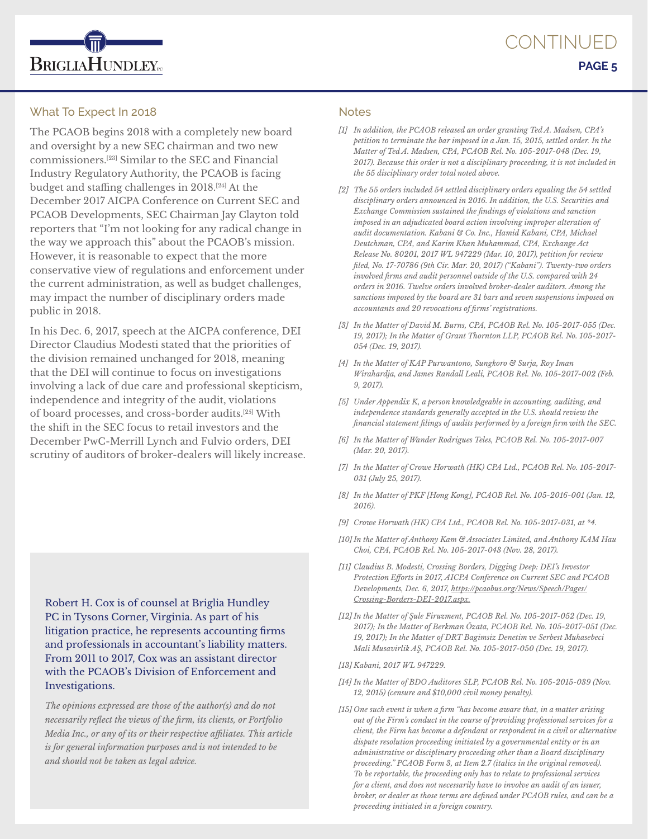

## What To Expect In 2018

The PCAOB begins 2018 with a completely new board and oversight by a new SEC chairman and two new commissioners.[23] Similar to the SEC and Financial Industry Regulatory Authority, the PCAOB is facing budget and staffing challenges in 2018.[24] At the December 2017 AICPA Conference on Current SEC and PCAOB Developments, SEC Chairman Jay Clayton told reporters that "I'm not looking for any radical change in the way we approach this" about the PCAOB's mission. However, it is reasonable to expect that the more conservative view of regulations and enforcement under the current administration, as well as budget challenges, may impact the number of disciplinary orders made public in 2018.

In his Dec. 6, 2017, speech at the AICPA conference, DEI Director Claudius Modesti stated that the priorities of the division remained unchanged for 2018, meaning that the DEI will continue to focus on investigations involving a lack of due care and professional skepticism, independence and integrity of the audit, violations of board processes, and cross-border audits.[25] With the shift in the SEC focus to retail investors and the December PwC-Merrill Lynch and Fulvio orders, DEI scrutiny of auditors of broker-dealers will likely increase.

Robert H. Cox is of counsel at Briglia Hundley PC in Tysons Corner, Virginia. As part of his litigation practice, he represents accounting firms and professionals in accountant's liability matters. From 2011 to 2017, Cox was an assistant director with the PCAOB's Division of Enforcement and Investigations.

*The opinions expressed are those of the author(s) and do not necessarily reflect the views of the firm, its clients, or Portfolio Media Inc., or any of its or their respective affiliates. This article is for general information purposes and is not intended to be and should not be taken as legal advice.*

#### **Notes**

- *[1] In addition, the PCAOB released an order granting Ted A. Madsen, CPA's petition to terminate the bar imposed in a Jan. 15, 2015, settled order. In the Matter of Ted A. Madsen, CPA, PCAOB Rel. No. 105-2017-048 (Dec. 19, 2017). Because this order is not a disciplinary proceeding, it is not included in the 55 disciplinary order total noted above.*
- *[2] The 55 orders included 54 settled disciplinary orders equaling the 54 settled disciplinary orders announced in 2016. In addition, the U.S. Securities and Exchange Commission sustained the findings of violations and sanction imposed in an adjudicated board action involving improper alteration of audit documentation. Kabani & Co. Inc., Hamid Kabani, CPA, Michael Deutchman, CPA, and Karim Khan Muhammad, CPA, Exchange Act Release No. 80201, 2017 WL 947229 (Mar. 10, 2017), petition for review filed, No. 17-70786 (9th Cir. Mar. 20, 2017) ("Kabani"). Twenty-two orders involved firms and audit personnel outside of the U.S. compared with 24 orders in 2016. Twelve orders involved broker-dealer auditors. Among the sanctions imposed by the board are 31 bars and seven suspensions imposed on accountants and 20 revocations of firms' registrations.*
- *[3] In the Matter of David M. Burns, CPA, PCAOB Rel. No. 105-2017-055 (Dec. 19, 2017); In the Matter of Grant Thornton LLP, PCAOB Rel. No. 105-2017- 054 (Dec. 19, 2017).*
- *[4] In the Matter of KAP Purwantono, Sungkoro & Surja, Roy Iman Wirahardja, and James Randall Leali, PCAOB Rel. No. 105-2017-002 (Feb. 9, 2017).*
- *[5] Under Appendix K, a person knowledgeable in accounting, auditing, and independence standards generally accepted in the U.S. should review the financial statement filings of audits performed by a foreign firm with the SEC.*
- *[6] In the Matter of Wander Rodrigues Teles, PCAOB Rel. No. 105-2017-007 (Mar. 20, 2017).*
- *[7] In the Matter of Crowe Horwath (HK) CPA Ltd., PCAOB Rel. No. 105-2017- 031 (July 25, 2017).*
- *[8] In the Matter of PKF [Hong Kong], PCAOB Rel. No. 105-2016-001 (Jan. 12, 2016).*
- *[9] Crowe Horwath (HK) CPA Ltd., PCAOB Rel. No. 105-2017-031, at \*4.*
- *[10] In the Matter of Anthony Kam & Associates Limited, and Anthony KAM Hau Choi, CPA, PCAOB Rel. No. 105-2017-043 (Nov. 28, 2017).*
- *[11] Claudius B. Modesti, Crossing Borders, Digging Deep: DEI's Investor Protection Efforts in 2017, AICPA Conference on Current SEC and PCAOB Developments, Dec. 6, 2017, https://pcaobus.org/News/Speech/Pages/ Crossing-Borders-DEI-2017.aspx.*
- *[12] In the Matter of Şule Firuzment, PCAOB Rel. No. 105-2017-052 (Dec. 19, 2017); In the Matter of Berkman Özata, PCAOB Rel. No. 105-2017-051 (Dec. 19, 2017); In the Matter of DRT Bagimsiz Denetim ve Serbest Muhasebeci Mali Musavirlik AŞ, PCAOB Rel. No. 105-2017-050 (Dec. 19, 2017).*

*[13] Kabani, 2017 WL 947229.*

- *[14] In the Matter of BDO Auditores SLP, PCAOB Rel. No. 105-2015-039 (Nov. 12, 2015) (censure and \$10,000 civil money penalty).*
- *[15] One such event is when a firm "has become aware that, in a matter arising out of the Firm's conduct in the course of providing professional services for a client, the Firm has become a defendant or respondent in a civil or alternative dispute resolution proceeding initiated by a governmental entity or in an administrative or disciplinary proceeding other than a Board disciplinary proceeding." PCAOB Form 3, at Item 2.7 (italics in the original removed). To be reportable, the proceeding only has to relate to professional services for a client, and does not necessarily have to involve an audit of an issuer, broker, or dealer as those terms are defined under PCAOB rules, and can be a proceeding initiated in a foreign country.*